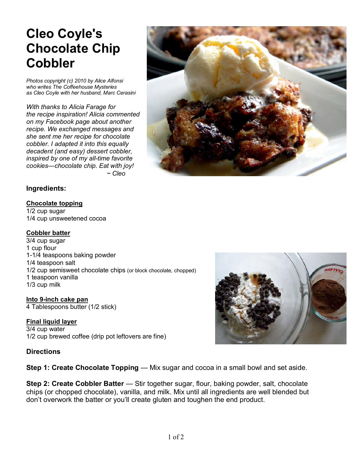# **Cleo Coyle's Chocolate Chip Cobbler**

*Photos copyright (c) 2010 by Alice Alfonsi who writes The Coffeehouse Mysteries as Cleo Coyle with her husband, Marc Cerasini* 

*With thanks to Alicia Farage for the recipe inspiration! Alicia commented on my Facebook page about another recipe. We exchanged messages and she sent me her recipe for chocolate cobbler. I adapted it into this equally decadent (and easy) dessert cobbler, inspired by one of my all-time favorite*   $cookies—chocolate chip.$  Eat with joy!  *~ Cleo* 



## **Ingredients:**

#### **Chocolate topping**

1/2 cup sugar 1/4 cup unsweetened cocoa

### **Cobbler batter**

3/4 cup sugar 1 cup flour 1-1/4 teaspoons baking powder 1/4 teaspoon salt 1/2 cup semisweet chocolate chips (or block chocolate, chopped) 1 teaspoon vanilla 1/3 cup milk

**Into 9-inch cake pan** 4 Tablespoons butter (1/2 stick)

#### **Final liquid layer**

3/4 cup water 1/2 cup brewed coffee (drip pot leftovers are fine)

# **Directions**

**Step 1: Create Chocolate Topping** — Mix sugar and cocoa in a small bowl and set aside.

**Step 2: Create Cobbler Batter** — Stir together sugar, flour, baking powder, salt, chocolate chips (or chopped chocolate), vanilla, and milk. Mix until all ingredients are well blended but don't overwork the batter or you'll create gluten and toughen the end product.